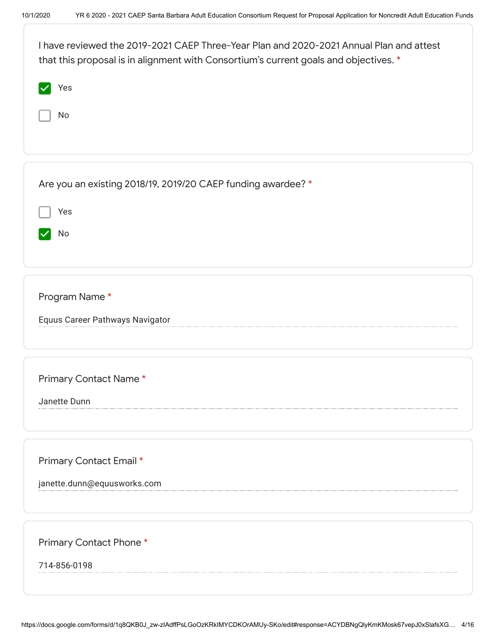| I have reviewed the 2019-2021 CAEP Three-Year Plan and 2020-2021 Annual Plan and attest<br>that this proposal is in alignment with Consortium's current goals and objectives. * |
|---------------------------------------------------------------------------------------------------------------------------------------------------------------------------------|
| Yes                                                                                                                                                                             |
| No                                                                                                                                                                              |
|                                                                                                                                                                                 |
| Are you an existing 2018/19, 2019/20 CAEP funding awardee? *                                                                                                                    |
| Yes                                                                                                                                                                             |
| No                                                                                                                                                                              |
|                                                                                                                                                                                 |
| Program Name*                                                                                                                                                                   |
| Equus Career Pathways Navigator                                                                                                                                                 |
|                                                                                                                                                                                 |
| Primary Contact Name*                                                                                                                                                           |
| Janette Dunn                                                                                                                                                                    |
|                                                                                                                                                                                 |
| Primary Contact Email *                                                                                                                                                         |
| janette.dunn@equusworks.com                                                                                                                                                     |
|                                                                                                                                                                                 |
| Primary Contact Phone*                                                                                                                                                          |
| 714-856-0198                                                                                                                                                                    |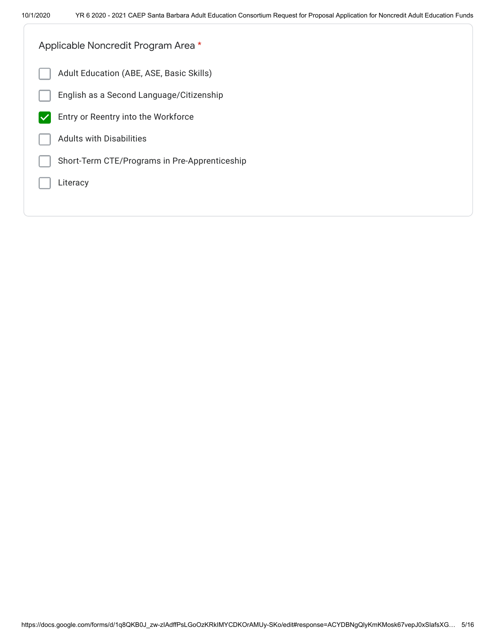| Applicable Noncredit Program Area *           |
|-----------------------------------------------|
| Adult Education (ABE, ASE, Basic Skills)      |
| English as a Second Language/Citizenship      |
| Entry or Reentry into the Workforce           |
| <b>Adults with Disabilities</b>               |
| Short-Term CTE/Programs in Pre-Apprenticeship |
| Literacy                                      |
|                                               |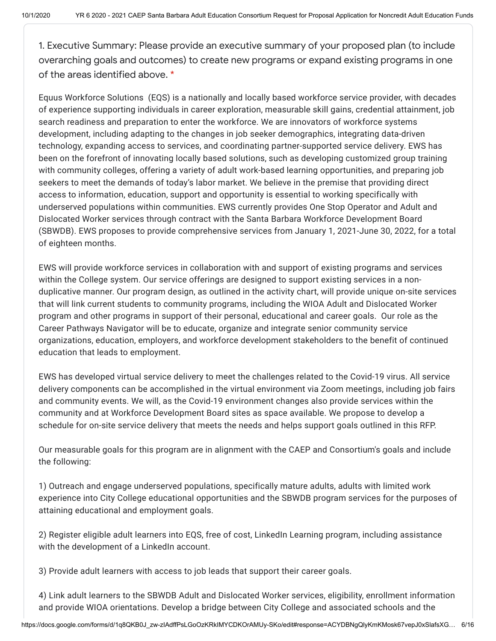1. Executive Summary: Please provide an executive summary of your proposed plan (to include overarching goals and outcomes) to create new programs or expand existing programs in one of the areas identified above. \*

Equus Workforce Solutions (EQS) is a nationally and locally based workforce service provider, with decades of experience supporting individuals in career exploration, measurable skill gains, credential attainment, job search readiness and preparation to enter the workforce. We are innovators of workforce systems development, including adapting to the changes in job seeker demographics, integrating data-driven technology, expanding access to services, and coordinating partner-supported service delivery. EWS has been on the forefront of innovating locally based solutions, such as developing customized group training with community colleges, offering a variety of adult work-based learning opportunities, and preparing job seekers to meet the demands of today's labor market. We believe in the premise that providing direct access to information, education, support and opportunity is essential to working specifically with underserved populations within communities. EWS currently provides One Stop Operator and Adult and Dislocated Worker services through contract with the Santa Barbara Workforce Development Board (SBWDB). EWS proposes to provide comprehensive services from January 1, 2021-June 30, 2022, for a total of eighteen months.

EWS will provide workforce services in collaboration with and support of existing programs and services within the College system. Our service offerings are designed to support existing services in a nonduplicative manner. Our program design, as outlined in the activity chart, will provide unique on-site services that will link current students to community programs, including the WIOA Adult and Dislocated Worker program and other programs in support of their personal, educational and career goals. Our role as the Career Pathways Navigator will be to educate, organize and integrate senior community service organizations, education, employers, and workforce development stakeholders to the benefit of continued education that leads to employment.

EWS has developed virtual service delivery to meet the challenges related to the Covid-19 virus. All service delivery components can be accomplished in the virtual environment via Zoom meetings, including job fairs and community events. We will, as the Covid-19 environment changes also provide services within the community and at Workforce Development Board sites as space available. We propose to develop a schedule for on-site service delivery that meets the needs and helps support goals outlined in this RFP.

Our measurable goals for this program are in alignment with the CAEP and Consortium's goals and include the following:

1) Outreach and engage underserved populations, specifically mature adults, adults with limited work experience into City College educational opportunities and the SBWDB program services for the purposes of attaining educational and employment goals.

2) Register eligible adult learners into EQS, free of cost, LinkedIn Learning program, including assistance with the development of a LinkedIn account.

3) Provide adult learners with access to job leads that support their career goals.

4) Link adult learners to the SBWDB Adult and Dislocated Worker services, eligibility, enrollment information and provide WIOA orientations. Develop a bridge between City College and associated schools and the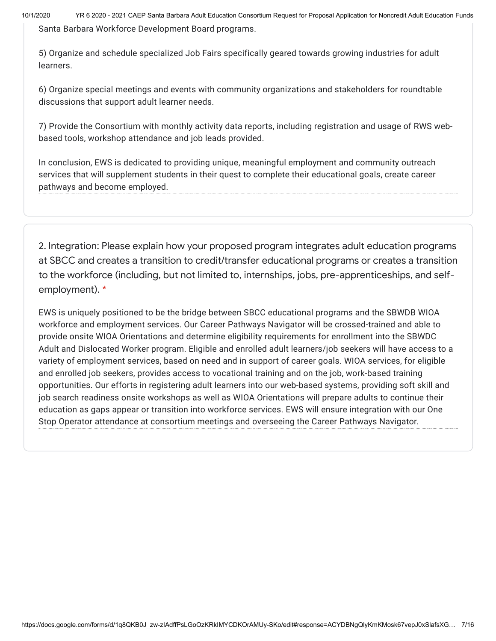10/1/2020 YR 6 2020 - 2021 CAEP Santa Barbara Adult Education Consortium Request for Proposal Application for Noncredit Adult Education Funds Santa Barbara Workforce Development Board programs.

5) Organize and schedule specialized Job Fairs specifically geared towards growing industries for adult learners.

6) Organize special meetings and events with community organizations and stakeholders for roundtable discussions that support adult learner needs.

7) Provide the Consortium with monthly activity data reports, including registration and usage of RWS webbased tools, workshop attendance and job leads provided.

In conclusion, EWS is dedicated to providing unique, meaningful employment and community outreach services that will supplement students in their quest to complete their educational goals, create career pathways and become employed.

2. Integration: Please explain how your proposed program integrates adult education programs at SBCC and creates a transition to credit/transfer educational programs or creates a transition to the workforce (including, but not limited to, internships, jobs, pre-apprenticeships, and selfemployment). \*

EWS is uniquely positioned to be the bridge between SBCC educational programs and the SBWDB WIOA workforce and employment services. Our Career Pathways Navigator will be crossed-trained and able to provide onsite WIOA Orientations and determine eligibility requirements for enrollment into the SBWDC Adult and Dislocated Worker program. Eligible and enrolled adult learners/job seekers will have access to a variety of employment services, based on need and in support of career goals. WIOA services, for eligible and enrolled job seekers, provides access to vocational training and on the job, work-based training opportunities. Our efforts in registering adult learners into our web-based systems, providing soft skill and job search readiness onsite workshops as well as WIOA Orientations will prepare adults to continue their education as gaps appear or transition into workforce services. EWS will ensure integration with our One Stop Operator attendance at consortium meetings and overseeing the Career Pathways Navigator.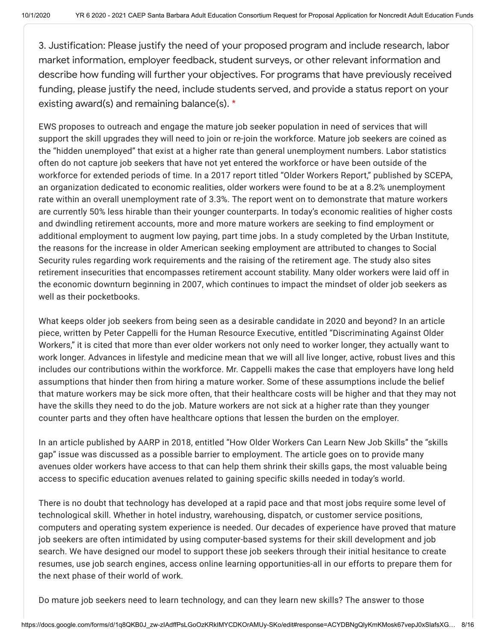3. Justification: Please justify the need of your proposed program and include research, labor market information, employer feedback, student surveys, or other relevant information and describe how funding will further your objectives. For programs that have previously received funding, please justify the need, include students served, and provide a status report on your existing award(s) and remaining balance(s). \*

EWS proposes to outreach and engage the mature job seeker population in need of services that will support the skill upgrades they will need to join or re-join the workforce. Mature job seekers are coined as the "hidden unemployed" that exist at a higher rate than general unemployment numbers. Labor statistics often do not capture job seekers that have not yet entered the workforce or have been outside of the workforce for extended periods of time. In a 2017 report titled "Older Workers Report," published by SCEPA, an organization dedicated to economic realities, older workers were found to be at a 8.2% unemployment rate within an overall unemployment rate of 3.3%. The report went on to demonstrate that mature workers are currently 50% less hirable than their younger counterparts. In today's economic realities of higher costs and dwindling retirement accounts, more and more mature workers are seeking to find employment or additional employment to augment low paying, part time jobs. In a study completed by the Urban Institute, the reasons for the increase in older American seeking employment are attributed to changes to Social Security rules regarding work requirements and the raising of the retirement age. The study also sites retirement insecurities that encompasses retirement account stability. Many older workers were laid off in the economic downturn beginning in 2007, which continues to impact the mindset of older job seekers as well as their pocketbooks.

What keeps older job seekers from being seen as a desirable candidate in 2020 and beyond? In an article piece, written by Peter Cappelli for the Human Resource Executive, entitled "Discriminating Against Older Workers," it is cited that more than ever older workers not only need to worker longer, they actually want to work longer. Advances in lifestyle and medicine mean that we will all live longer, active, robust lives and this includes our contributions within the workforce. Mr. Cappelli makes the case that employers have long held assumptions that hinder then from hiring a mature worker. Some of these assumptions include the belief that mature workers may be sick more often, that their healthcare costs will be higher and that they may not have the skills they need to do the job. Mature workers are not sick at a higher rate than they younger counter parts and they often have healthcare options that lessen the burden on the employer.

In an article published by AARP in 2018, entitled "How Older Workers Can Learn New Job Skills" the "skills gap" issue was discussed as a possible barrier to employment. The article goes on to provide many avenues older workers have access to that can help them shrink their skills gaps, the most valuable being access to specific education avenues related to gaining specific skills needed in today's world.

There is no doubt that technology has developed at a rapid pace and that most jobs require some level of technological skill. Whether in hotel industry, warehousing, dispatch, or customer service positions, computers and operating system experience is needed. Our decades of experience have proved that mature job seekers are often intimidated by using computer-based systems for their skill development and job search. We have designed our model to support these job seekers through their initial hesitance to create resumes, use job search engines, access online learning opportunities-all in our efforts to prepare them for the next phase of their world of work.

Do mature job seekers need to learn technology, and can they learn new skills? The answer to those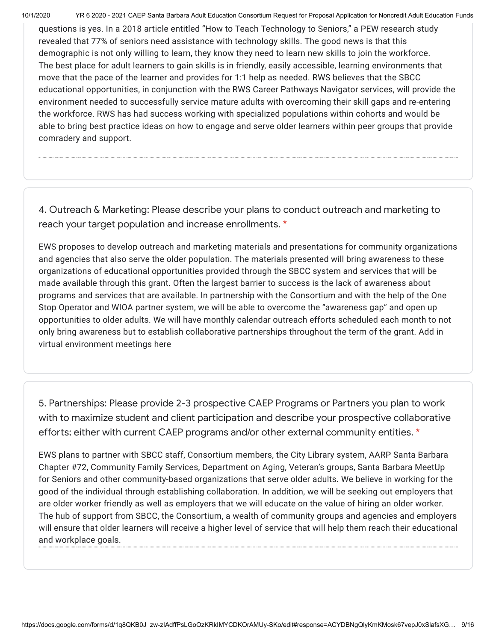10/1/2020 YR 6 2020 - 2021 CAEP Santa Barbara Adult Education Consortium Request for Proposal Application for Noncredit Adult Education Funds

questions is yes. In a 2018 article entitled "How to Teach Technology to Seniors," a PEW research study revealed that 77% of seniors need assistance with technology skills. The good news is that this demographic is not only willing to learn, they know they need to learn new skills to join the workforce. The best place for adult learners to gain skills is in friendly, easily accessible, learning environments that move that the pace of the learner and provides for 1:1 help as needed. RWS believes that the SBCC educational opportunities, in conjunction with the RWS Career Pathways Navigator services, will provide the environment needed to successfully service mature adults with overcoming their skill gaps and re-entering the workforce. RWS has had success working with specialized populations within cohorts and would be able to bring best practice ideas on how to engage and serve older learners within peer groups that provide comradery and support.

4. Outreach & Marketing: Please describe your plans to conduct outreach and marketing to reach your target population and increase enrollments. \*

EWS proposes to develop outreach and marketing materials and presentations for community organizations and agencies that also serve the older population. The materials presented will bring awareness to these organizations of educational opportunities provided through the SBCC system and services that will be made available through this grant. Often the largest barrier to success is the lack of awareness about programs and services that are available. In partnership with the Consortium and with the help of the One Stop Operator and WIOA partner system, we will be able to overcome the "awareness gap" and open up opportunities to older adults. We will have monthly calendar outreach efforts scheduled each month to not only bring awareness but to establish collaborative partnerships throughout the term of the grant. Add in virtual environment meetings here

5. Partnerships: Please provide 2-3 prospective CAEP Programs or Partners you plan to work with to maximize student and client participation and describe your prospective collaborative efforts; either with current CAEP programs and/or other external community entities. \*

EWS plans to partner with SBCC staff, Consortium members, the City Library system, AARP Santa Barbara Chapter #72, Community Family Services, Department on Aging, Veteran's groups, Santa Barbara MeetUp for Seniors and other community-based organizations that serve older adults. We believe in working for the good of the individual through establishing collaboration. In addition, we will be seeking out employers that are older worker friendly as well as employers that we will educate on the value of hiring an older worker. The hub of support from SBCC, the Consortium, a wealth of community groups and agencies and employers will ensure that older learners will receive a higher level of service that will help them reach their educational and workplace goals.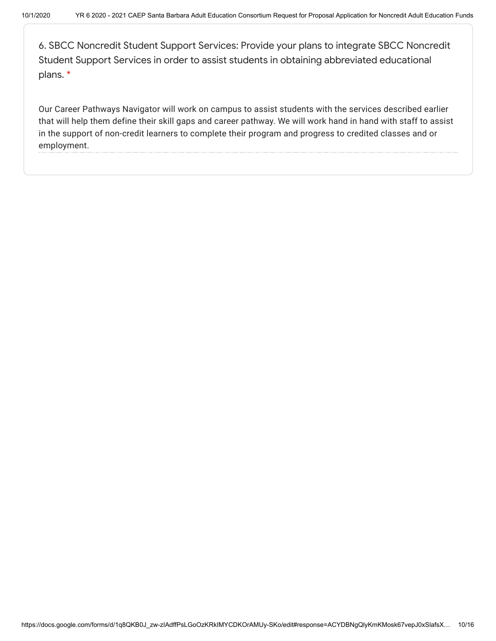6. SBCC Noncredit Student Support Services: Provide your plans to integrate SBCC Noncredit Student Support Services in order to assist students in obtaining abbreviated educational plans. \*

Our Career Pathways Navigator will work on campus to assist students with the services described earlier that will help them define their skill gaps and career pathway. We will work hand in hand with staff to assist in the support of non-credit learners to complete their program and progress to credited classes and or employment.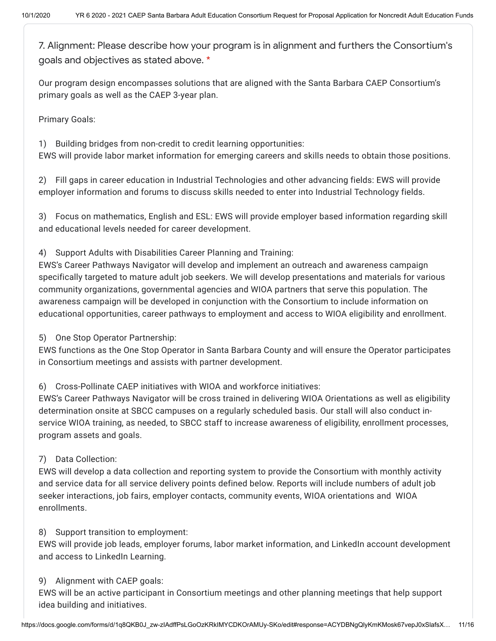7. Alignment: Please describe how your program is in alignment and furthers the Consortium's goals and objectives as stated above. \*

Our program design encompasses solutions that are aligned with the Santa Barbara CAEP Consortium's primary goals as well as the CAEP 3-year plan.

Primary Goals:

1) Building bridges from non-credit to credit learning opportunities:

EWS will provide labor market information for emerging careers and skills needs to obtain those positions.

2) Fill gaps in career education in Industrial Technologies and other advancing fields: EWS will provide employer information and forums to discuss skills needed to enter into Industrial Technology fields.

3) Focus on mathematics, English and ESL: EWS will provide employer based information regarding skill and educational levels needed for career development.

4) Support Adults with Disabilities Career Planning and Training:

EWS's Career Pathways Navigator will develop and implement an outreach and awareness campaign specifically targeted to mature adult job seekers. We will develop presentations and materials for various community organizations, governmental agencies and WIOA partners that serve this population. The awareness campaign will be developed in conjunction with the Consortium to include information on educational opportunities, career pathways to employment and access to WIOA eligibility and enrollment.

5) One Stop Operator Partnership:

EWS functions as the One Stop Operator in Santa Barbara County and will ensure the Operator participates in Consortium meetings and assists with partner development.

6) Cross-Pollinate CAEP initiatives with WIOA and workforce initiatives:

EWS's Career Pathways Navigator will be cross trained in delivering WIOA Orientations as well as eligibility determination onsite at SBCC campuses on a regularly scheduled basis. Our stall will also conduct inservice WIOA training, as needed, to SBCC staff to increase awareness of eligibility, enrollment processes, program assets and goals.

# 7) Data Collection:

EWS will develop a data collection and reporting system to provide the Consortium with monthly activity and service data for all service delivery points defined below. Reports will include numbers of adult job seeker interactions, job fairs, employer contacts, community events, WIOA orientations and WIOA enrollments.

8) Support transition to employment:

EWS will provide job leads, employer forums, labor market information, and LinkedIn account development and access to LinkedIn Learning.

## 9) Alignment with CAEP goals:

EWS will be an active participant in Consortium meetings and other planning meetings that help support idea building and initiatives.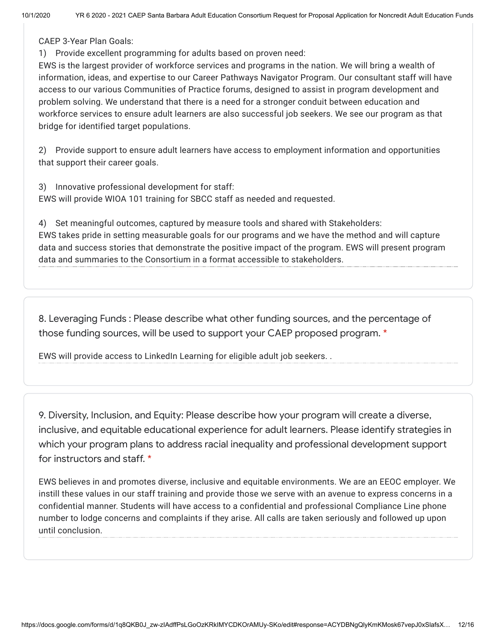CAEP 3-Year Plan Goals:

1) Provide excellent programming for adults based on proven need:

EWS is the largest provider of workforce services and programs in the nation. We will bring a wealth of information, ideas, and expertise to our Career Pathways Navigator Program. Our consultant staff will have access to our various Communities of Practice forums, designed to assist in program development and problem solving. We understand that there is a need for a stronger conduit between education and workforce services to ensure adult learners are also successful job seekers. We see our program as that bridge for identified target populations.

2) Provide support to ensure adult learners have access to employment information and opportunities that support their career goals.

3) Innovative professional development for staff: EWS will provide WIOA 101 training for SBCC staff as needed and requested.

4) Set meaningful outcomes, captured by measure tools and shared with Stakeholders: EWS takes pride in setting measurable goals for our programs and we have the method and will capture data and success stories that demonstrate the positive impact of the program. EWS will present program data and summaries to the Consortium in a format accessible to stakeholders.

8. Leveraging Funds : Please describe what other funding sources, and the percentage of those funding sources, will be used to support your CAEP proposed program. \*

EWS will provide access to LinkedIn Learning for eligible adult job seekers. .

9. Diversity, Inclusion, and Equity: Please describe how your program will create a diverse, inclusive, and equitable educational experience for adult learners. Please identify strategies in which your program plans to address racial inequality and professional development support for instructors and staff. \*

EWS believes in and promotes diverse, inclusive and equitable environments. We are an EEOC employer. We instill these values in our staff training and provide those we serve with an avenue to express concerns in a confidential manner. Students will have access to a confidential and professional Compliance Line phone number to lodge concerns and complaints if they arise. All calls are taken seriously and followed up upon until conclusion.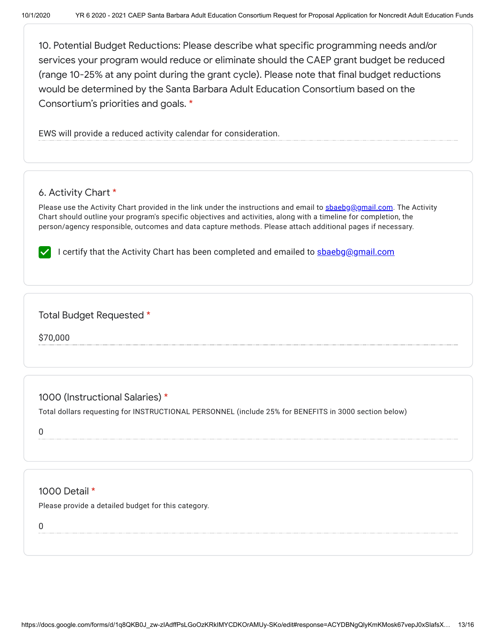10. Potential Budget Reductions: Please describe what specific programming needs and/or services your program would reduce or eliminate should the CAEP grant budget be reduced (range 10-25% at any point during the grant cycle). Please note that final budget reductions would be determined by the Santa Barbara Adult Education Consortium based on the Consortium's priorities and goals. \*

EWS will provide a reduced activity calendar for consideration.

## 6. Activity Chart \*

Please use the Activity Chart provided in the link under the instructions and email to [sbaebg@gmail.com.](mailto:sbaebg@gmail.com) The Activity Chart should outline your program's specific objectives and activities, along with a timeline for completion, the person/agency responsible, outcomes and data capture methods. Please attach additional pages if necessary.

I certify that the Activity Chart has been completed and emailed to **shaebg@gmail.com** 

## Total Budget Requested \*

\$70,000

# 1000 (Instructional Salaries) \*

Total dollars requesting for INSTRUCTIONAL PERSONNEL (include 25% for BENEFITS in 3000 section below)

0

# 1000 Detail \*

Please provide a detailed budget for this category.

0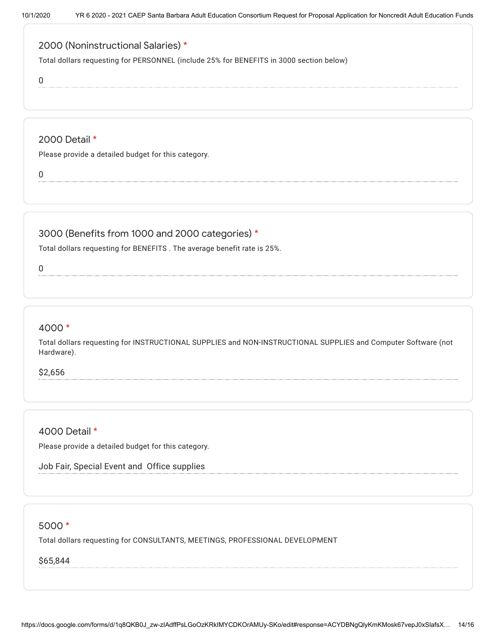# 2000 (Noninstructional Salaries) \*

Total dollars requesting for PERSONNEL (include 25% for BENEFITS in 3000 section below)

0

#### 2000 Detail \*

Please provide a detailed budget for this category.

0

# 3000 (Benefits from 1000 and 2000 categories) \*

Total dollars requesting for BENEFITS . The average benefit rate is 25%.

0

## 4000 \*

Total dollars requesting for INSTRUCTIONAL SUPPLIES and NON-INSTRUCTIONAL SUPPLIES and Computer Software (not Hardware).

\$2,656

#### 4000 Detail \*

Please provide a detailed budget for this category.

Job Fair, Special Event and Office supplies

#### 5000 \*

Total dollars requesting for CONSULTANTS, MEETINGS, PROFESSIONAL DEVELOPMENT

\$65,844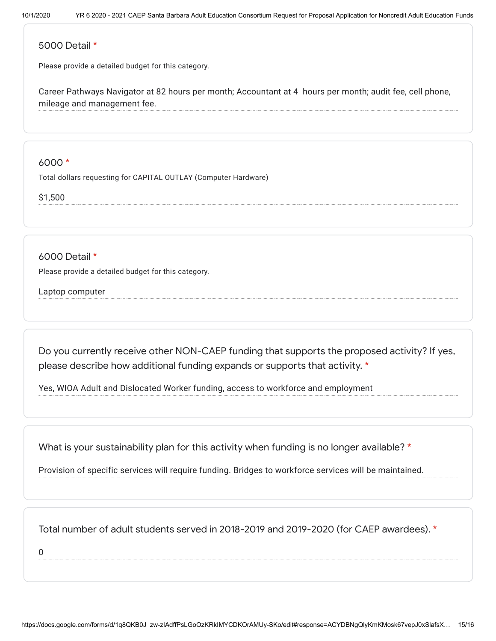#### 5000 Detail \*

Please provide a detailed budget for this category.

Career Pathways Navigator at 82 hours per month; Accountant at 4 hours per month; audit fee, cell phone, mileage and management fee.

## 6000 \*

Total dollars requesting for CAPITAL OUTLAY (Computer Hardware)

\$1,500

6000 Detail \*

Please provide a detailed budget for this category.

Laptop computer

Do you currently receive other NON-CAEP funding that supports the proposed activity? If yes, please describe how additional funding expands or supports that activity. \*

Yes, WIOA Adult and Dislocated Worker funding, access to workforce and employment

What is your sustainability plan for this activity when funding is no longer available? \*

Provision of specific services will require funding. Bridges to workforce services will be maintained.

Total number of adult students served in 2018-2019 and 2019-2020 (for CAEP awardees). \*

0